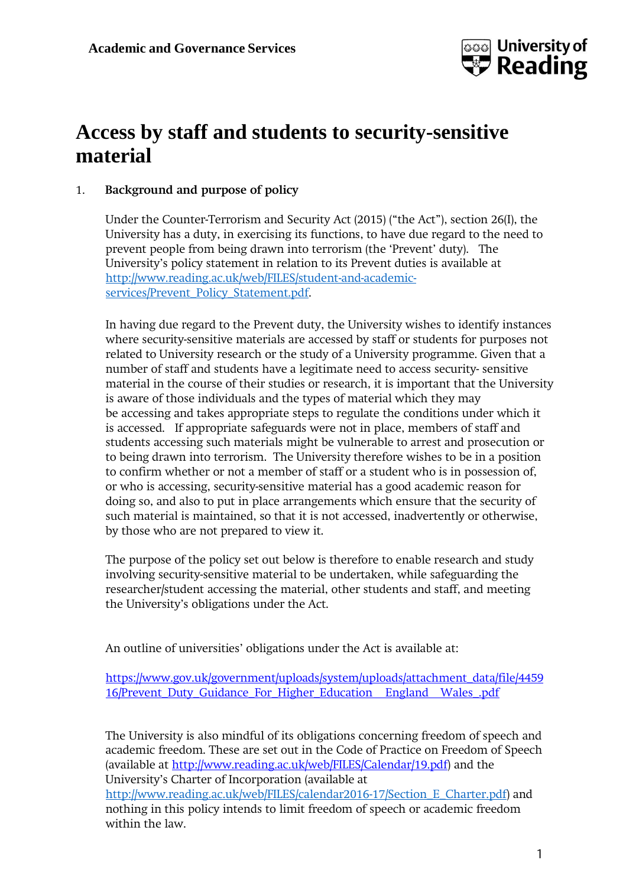

# **Access by staff and students to security-sensitive material**

# 1. **Background and purpose of policy**

Under the Counter-Terrorism and Security Act (2015) ("the Act"), section 26(I), the University has a duty, in exercising its functions, to have due regard to the need to prevent people from being drawn into terrorism (the 'Prevent' duty). The University's policy statement in relation to its Prevent duties is available at [http://www.reading.ac.uk/web/FILES/student-and-academic](http://www.reading.ac.uk/web/FILES/student-and-academic-services/Prevent_Policy_Statement.pdf)[services/Prevent\\_Policy\\_Statement.pdf.](http://www.reading.ac.uk/web/FILES/student-and-academic-services/Prevent_Policy_Statement.pdf)

In having due regard to the Prevent duty, the University wishes to identify instances where security-sensitive materials are accessed by staff or students for purposes not related to University research or the study of a University programme. Given that a number of staff and students have a legitimate need to access security- sensitive material in the course of their studies or research, it is important that the University is aware of those individuals and the types of material which they may be accessing and takes appropriate steps to regulate the conditions under which it is accessed. If appropriate safeguards were not in place, members of staff and students accessing such materials might be vulnerable to arrest and prosecution or to being drawn into terrorism. The University therefore wishes to be in a position to confirm whether or not a member of staff or a student who is in possession of, or who is accessing, security-sensitive material has a good academic reason for doing so, and also to put in place arrangements which ensure that the security of such material is maintained, so that it is not accessed, inadvertently or otherwise, by those who are not prepared to view it.

The purpose of the policy set out below is therefore to enable research and study involving security-sensitive material to be undertaken, while safeguarding the researcher/student accessing the material, other students and staff, and meeting the University's obligations under the Act.

An outline of universities' obligations under the Act is available at:

[https://www.gov.uk/government/uploads/system/uploads/attachment\\_data/file/4459](https://www.gov.uk/government/uploads/system/uploads/attachment_data/file/445916/Prevent_Duty_Guidance_For_Higher_Education__England__Wales_.pdf) 16/Prevent Duty Guidance For Higher Education [England](https://www.gov.uk/government/uploads/system/uploads/attachment_data/file/445916/Prevent_Duty_Guidance_For_Higher_Education__England__Wales_.pdf) Wales .pdf

The University is also mindful of its obligations concerning freedom of speech and academic freedom. These are set out in the Code of Practice on Freedom of Speech (available at [http://www.reading.ac.uk/web/FILES/Calendar/19.pdf\)](http://www.reading.ac.uk/web/FILES/Calendar/19.pdf) and the University's Charter of Incorporation (available at [http://www.reading.ac.uk/web/FILES/calendar2016-17/Section\\_E\\_Charter.pdf\)](http://www.reading.ac.uk/web/FILES/calendar2016-17/Section_E_Charter.pdf) and nothing in this policy intends to limit freedom of speech or academic freedom within the law.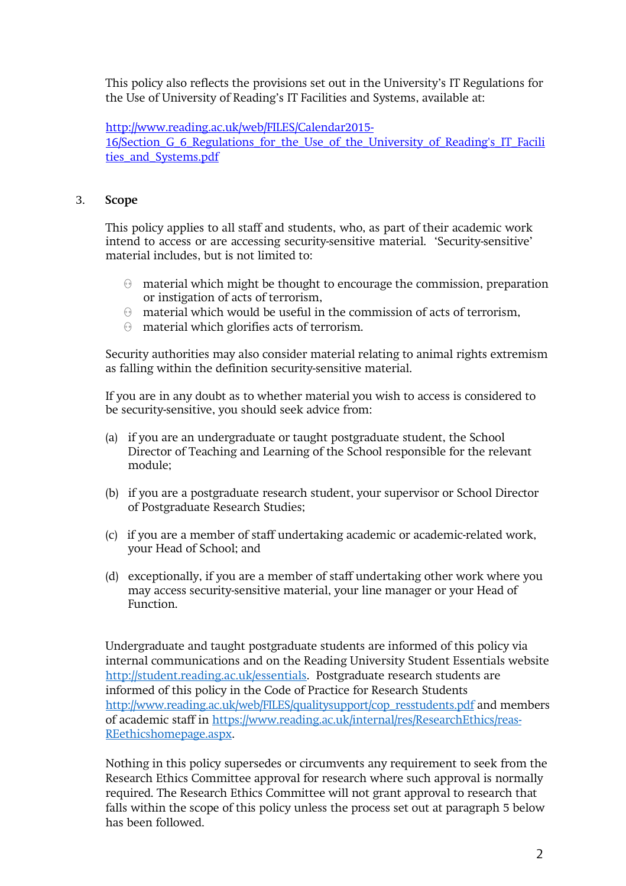This policy also reflects the provisions set out in the University's IT Regulations for the Use of University of Reading's IT Facilities and Systems, available at:

[http://www.reading.ac.uk/web/FILES/Calendar2015-](http://www.reading.ac.uk/web/FILES/Calendar2015-16/Section_G_6_Regulations_for_the_Use_of_the_University_of_Reading%27s_IT_Facilities_and_Systems.pdf)

[16/Section\\_G\\_6\\_Regulations\\_for\\_the\\_Use\\_of\\_the\\_University\\_of\\_Reading's\\_IT\\_Facili](http://www.reading.ac.uk/web/FILES/Calendar2015-16/Section_G_6_Regulations_for_the_Use_of_the_University_of_Reading%27s_IT_Facilities_and_Systems.pdf) [ties\\_and\\_Systems.pdf](http://www.reading.ac.uk/web/FILES/Calendar2015-16/Section_G_6_Regulations_for_the_Use_of_the_University_of_Reading%27s_IT_Facilities_and_Systems.pdf)

## 3. **Scope**

This policy applies to all staff and students, who, as part of their academic work intend to access or are accessing security-sensitive material. 'Security-sensitive' material includes, but is not limited to:

- $\Theta$  material which might be thought to encourage the commission, preparation or instigation of acts of terrorism,
- material which would be useful in the commission of acts of terrorism,
- material which glorifies acts of terrorism.

Security authorities may also consider material relating to animal rights extremism as falling within the definition security-sensitive material.

If you are in any doubt as to whether material you wish to access is considered to be security-sensitive, you should seek advice from:

- (a) if you are an undergraduate or taught postgraduate student, the School Director of Teaching and Learning of the School responsible for the relevant module;
- (b) if you are a postgraduate research student, your supervisor or School Director of Postgraduate Research Studies;
- (c) if you are a member of staff undertaking academic or academic-related work, your Head of School; and
- (d) exceptionally, if you are a member of staff undertaking other work where you may access security-sensitive material, your line manager or your Head of Function.

Undergraduate and taught postgraduate students are informed of this policy via internal communications and on the Reading University Student Essentials website [http://student.reading.ac.uk/essentials.](http://student.reading.ac.uk/essentials) Postgraduate research students are informed of this policy in the Code of Practice for Research Students [http://www.reading.ac.uk/web/FILES/qualitysupport/cop\\_resstudents.pdf](http://www.reading.ac.uk/web/FILES/qualitysupport/cop_resstudents.pdf) and members of academic staff in [https://www.reading.ac.uk/internal/res/ResearchEthics/reas-](https://www.reading.ac.uk/internal/res/ResearchEthics/reas-REethicshomepage.aspx)[REethicshomepage.aspx.](https://www.reading.ac.uk/internal/res/ResearchEthics/reas-REethicshomepage.aspx)

Nothing in this policy supersedes or circumvents any requirement to seek from the Research Ethics Committee approval for research where such approval is normally required. The Research Ethics Committee will not grant approval to research that falls within the scope of this policy unless the process set out at paragraph 5 below has been followed.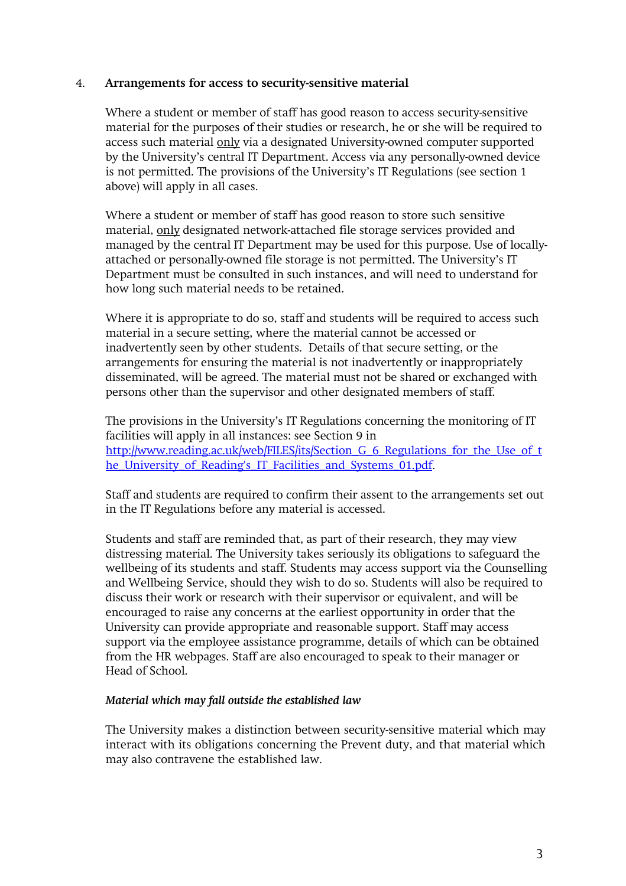#### 4. **Arrangements for access to security-sensitive material**

Where a student or member of staff has good reason to access security-sensitive material for the purposes of their studies or research, he or she will be required to access such material only via a designated University-owned computer supported by the University's central IT Department. Access via any personally-owned device is not permitted. The provisions of the University's IT Regulations (see section 1 above) will apply in all cases.

Where a student or member of staff has good reason to store such sensitive material, only designated network-attached file storage services provided and managed by the central IT Department may be used for this purpose. Use of locallyattached or personally-owned file storage is not permitted. The University's IT Department must be consulted in such instances, and will need to understand for how long such material needs to be retained.

Where it is appropriate to do so, staff and students will be required to access such material in a secure setting, where the material cannot be accessed or inadvertently seen by other students. Details of that secure setting, or the arrangements for ensuring the material is not inadvertently or inappropriately disseminated, will be agreed. The material must not be shared or exchanged with persons other than the supervisor and other designated members of staff.

The provisions in the University's IT Regulations concerning the monitoring of IT facilities will apply in all instances: see Section 9 in http://www.reading.ac.uk/web/FILES/its/Section G 6 Regulations for the Use of t [he\\_University\\_of\\_Reading's\\_IT\\_Facilities\\_and\\_Systems\\_01.pdf.](http://www.reading.ac.uk/web/FILES/its/Section_G_6_Regulations_for_the_Use_of_the_University_of_Reading%27s_IT_Facilities_and_Systems_01.pdf)

Staff and students are required to confirm their assent to the arrangements set out in the IT Regulations before any material is accessed.

Students and staff are reminded that, as part of their research, they may view distressing material. The University takes seriously its obligations to safeguard the wellbeing of its students and staff. Students may access support via the Counselling and Wellbeing Service, should they wish to do so. Students will also be required to discuss their work or research with their supervisor or equivalent, and will be encouraged to raise any concerns at the earliest opportunity in order that the University can provide appropriate and reasonable support. Staff may access support via the employee assistance programme, details of which can be obtained from the HR webpages. Staff are also encouraged to speak to their manager or Head of School.

## *Material which may fall outside the established law*

The University makes a distinction between security-sensitive material which may interact with its obligations concerning the Prevent duty, and that material which may also contravene the established law.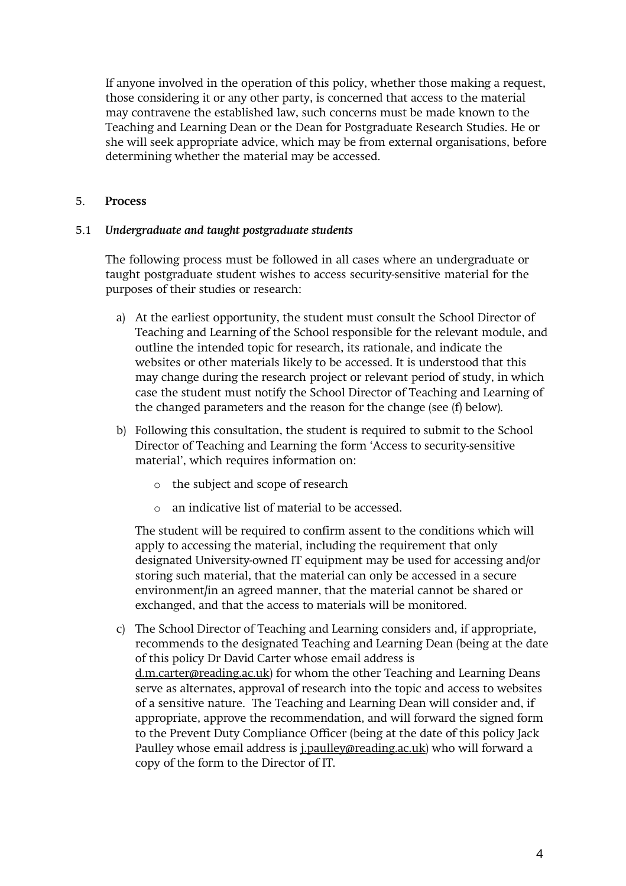If anyone involved in the operation of this policy, whether those making a request, those considering it or any other party, is concerned that access to the material may contravene the established law, such concerns must be made known to the Teaching and Learning Dean or the Dean for Postgraduate Research Studies. He or she will seek appropriate advice, which may be from external organisations, before determining whether the material may be accessed.

### 5. **Process**

#### 5.1 *Undergraduate and taught postgraduate students*

The following process must be followed in all cases where an undergraduate or taught postgraduate student wishes to access security-sensitive material for the purposes of their studies or research:

- a) At the earliest opportunity, the student must consult the School Director of Teaching and Learning of the School responsible for the relevant module, and outline the intended topic for research, its rationale, and indicate the websites or other materials likely to be accessed. It is understood that this may change during the research project or relevant period of study, in which case the student must notify the School Director of Teaching and Learning of the changed parameters and the reason for the change (see (f) below).
- b) Following this consultation, the student is required to submit to the School Director of Teaching and Learning the form 'Access to security-sensitive material', which requires information on:
	- o the subject and scope of research
	- o an indicative list of material to be accessed.

The student will be required to confirm assent to the conditions which will apply to accessing the material, including the requirement that only designated University-owned IT equipment may be used for accessing and/or storing such material, that the material can only be accessed in a secure environment/in an agreed manner, that the material cannot be shared or exchanged, and that the access to materials will be monitored.

c) The School Director of Teaching and Learning considers and, if appropriate, recommends to the designated Teaching and Learning Dean (being at the date of this policy Dr David Carter whose email address is [d.m.carter@reading.ac.uk\)](mailto:d.m.carter@reading.ac.uk) for whom the other Teaching and Learning Deans serve as alternates, approval of research into the topic and access to websites of a sensitive nature. The Teaching and Learning Dean will consider and, if appropriate, approve the recommendation, and will forward the signed form to the Prevent Duty Compliance Officer (being at the date of this policy Jack Paulley whose email address is *j.paulley@reading.ac.uk*) who will forward a copy of the form to the Director of IT.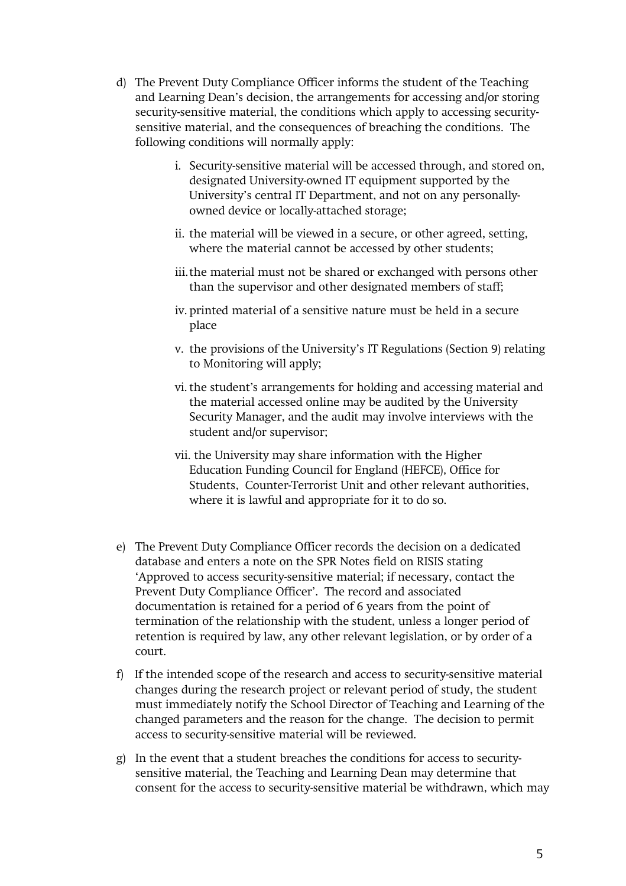- d) The Prevent Duty Compliance Officer informs the student of the Teaching and Learning Dean's decision, the arrangements for accessing and/or storing security-sensitive material, the conditions which apply to accessing securitysensitive material, and the consequences of breaching the conditions. The following conditions will normally apply:
	- i. Security-sensitive material will be accessed through, and stored on, designated University-owned IT equipment supported by the University's central IT Department, and not on any personallyowned device or locally-attached storage;
	- ii. the material will be viewed in a secure, or other agreed, setting, where the material cannot be accessed by other students;
	- iii.the material must not be shared or exchanged with persons other than the supervisor and other designated members of staff;
	- iv. printed material of a sensitive nature must be held in a secure place
	- v. the provisions of the University's IT Regulations (Section 9) relating to Monitoring will apply;
	- vi.the student's arrangements for holding and accessing material and the material accessed online may be audited by the University Security Manager, and the audit may involve interviews with the student and/or supervisor;
	- vii. the University may share information with the Higher Education Funding Council for England (HEFCE), Office for Students, Counter-Terrorist Unit and other relevant authorities, where it is lawful and appropriate for it to do so.
- e) The Prevent Duty Compliance Officer records the decision on a dedicated database and enters a note on the SPR Notes field on RISIS stating 'Approved to access security-sensitive material; if necessary, contact the Prevent Duty Compliance Officer'. The record and associated documentation is retained for a period of 6 years from the point of termination of the relationship with the student, unless a longer period of retention is required by law, any other relevant legislation, or by order of a court.
- f) If the intended scope of the research and access to security-sensitive material changes during the research project or relevant period of study, the student must immediately notify the School Director of Teaching and Learning of the changed parameters and the reason for the change. The decision to permit access to security-sensitive material will be reviewed.
- g) In the event that a student breaches the conditions for access to securitysensitive material, the Teaching and Learning Dean may determine that consent for the access to security-sensitive material be withdrawn, which may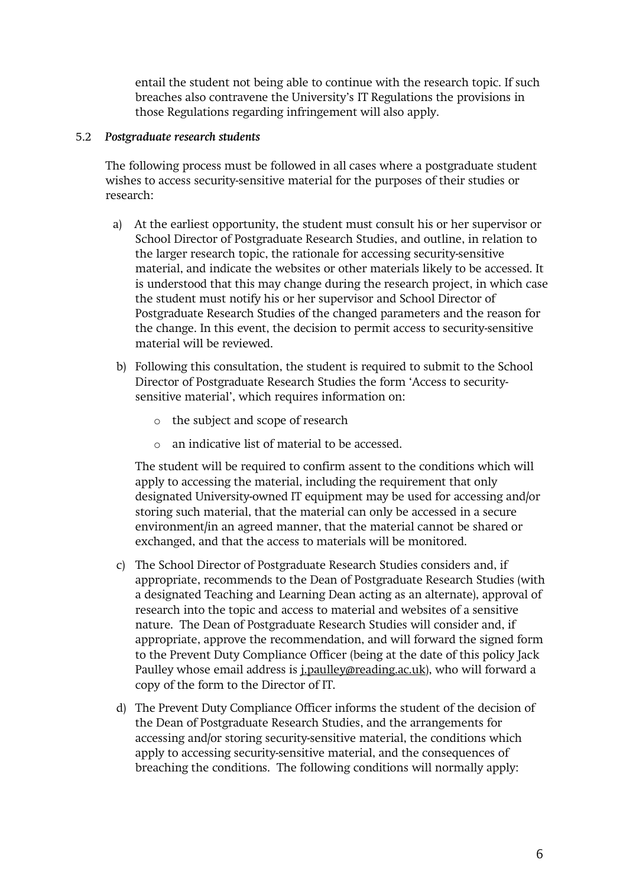entail the student not being able to continue with the research topic. If such breaches also contravene the University's IT Regulations the provisions in those Regulations regarding infringement will also apply.

#### 5.2 *Postgraduate research students*

The following process must be followed in all cases where a postgraduate student wishes to access security-sensitive material for the purposes of their studies or research:

- a) At the earliest opportunity, the student must consult his or her supervisor or School Director of Postgraduate Research Studies, and outline, in relation to the larger research topic, the rationale for accessing security-sensitive material, and indicate the websites or other materials likely to be accessed. It is understood that this may change during the research project, in which case the student must notify his or her supervisor and School Director of Postgraduate Research Studies of the changed parameters and the reason for the change. In this event, the decision to permit access to security-sensitive material will be reviewed.
- b) Following this consultation, the student is required to submit to the School Director of Postgraduate Research Studies the form 'Access to securitysensitive material', which requires information on:
	- o the subject and scope of research
	- o an indicative list of material to be accessed.

The student will be required to confirm assent to the conditions which will apply to accessing the material, including the requirement that only designated University-owned IT equipment may be used for accessing and/or storing such material, that the material can only be accessed in a secure environment/in an agreed manner, that the material cannot be shared or exchanged, and that the access to materials will be monitored.

- c) The School Director of Postgraduate Research Studies considers and, if appropriate, recommends to the Dean of Postgraduate Research Studies (with a designated Teaching and Learning Dean acting as an alternate), approval of research into the topic and access to material and websites of a sensitive nature. The Dean of Postgraduate Research Studies will consider and, if appropriate, approve the recommendation, and will forward the signed form to the Prevent Duty Compliance Officer (being at the date of this policy Jack Paulley whose email address is *j.paulley@reading.ac.uk*), who will forward a copy of the form to the Director of IT.
- d) The Prevent Duty Compliance Officer informs the student of the decision of the Dean of Postgraduate Research Studies, and the arrangements for accessing and/or storing security-sensitive material, the conditions which apply to accessing security-sensitive material, and the consequences of breaching the conditions. The following conditions will normally apply: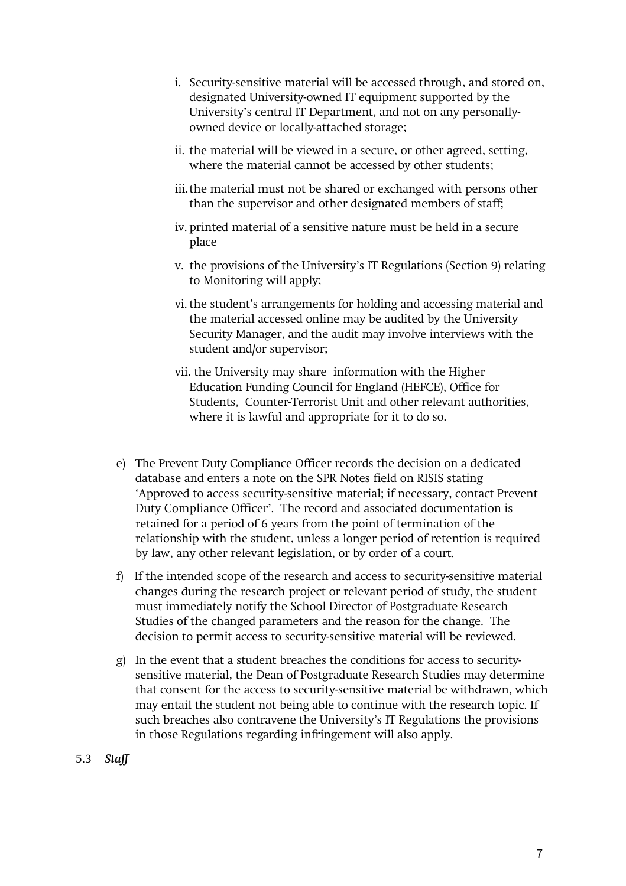- i. Security-sensitive material will be accessed through, and stored on, designated University-owned IT equipment supported by the University's central IT Department, and not on any personallyowned device or locally-attached storage;
- ii. the material will be viewed in a secure, or other agreed, setting, where the material cannot be accessed by other students;
- iii.the material must not be shared or exchanged with persons other than the supervisor and other designated members of staff;
- iv. printed material of a sensitive nature must be held in a secure place
- v. the provisions of the University's IT Regulations (Section 9) relating to Monitoring will apply;
- vi.the student's arrangements for holding and accessing material and the material accessed online may be audited by the University Security Manager, and the audit may involve interviews with the student and/or supervisor;
- vii. the University may share information with the Higher Education Funding Council for England (HEFCE), Office for Students, Counter-Terrorist Unit and other relevant authorities, where it is lawful and appropriate for it to do so.
- e) The Prevent Duty Compliance Officer records the decision on a dedicated database and enters a note on the SPR Notes field on RISIS stating 'Approved to access security-sensitive material; if necessary, contact Prevent Duty Compliance Officer'. The record and associated documentation is retained for a period of 6 years from the point of termination of the relationship with the student, unless a longer period of retention is required by law, any other relevant legislation, or by order of a court.
- f) If the intended scope of the research and access to security-sensitive material changes during the research project or relevant period of study, the student must immediately notify the School Director of Postgraduate Research Studies of the changed parameters and the reason for the change. The decision to permit access to security-sensitive material will be reviewed.
- g) In the event that a student breaches the conditions for access to securitysensitive material, the Dean of Postgraduate Research Studies may determine that consent for the access to security-sensitive material be withdrawn, which may entail the student not being able to continue with the research topic. If such breaches also contravene the University's IT Regulations the provisions in those Regulations regarding infringement will also apply.
- 5.3 *Staff*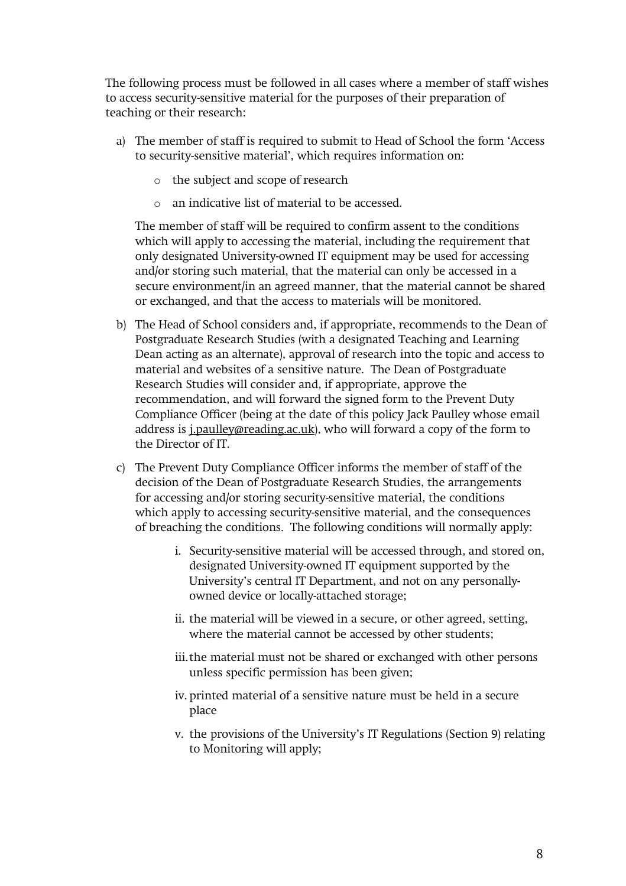The following process must be followed in all cases where a member of staff wishes to access security-sensitive material for the purposes of their preparation of teaching or their research:

- a) The member of staff is required to submit to Head of School the form 'Access to security-sensitive material', which requires information on:
	- o the subject and scope of research
	- o an indicative list of material to be accessed.

The member of staff will be required to confirm assent to the conditions which will apply to accessing the material, including the requirement that only designated University-owned IT equipment may be used for accessing and/or storing such material, that the material can only be accessed in a secure environment/in an agreed manner, that the material cannot be shared or exchanged, and that the access to materials will be monitored.

- b) The Head of School considers and, if appropriate, recommends to the Dean of Postgraduate Research Studies (with a designated Teaching and Learning Dean acting as an alternate), approval of research into the topic and access to material and websites of a sensitive nature. The Dean of Postgraduate Research Studies will consider and, if appropriate, approve the recommendation, and will forward the signed form to the Prevent Duty Compliance Officer (being at the date of this policy Jack Paulley whose email address is *j.paulley@reading.ac.uk*), who will forward a copy of the form to the Director of IT.
- c) The Prevent Duty Compliance Officer informs the member of staff of the decision of the Dean of Postgraduate Research Studies, the arrangements for accessing and/or storing security-sensitive material, the conditions which apply to accessing security-sensitive material, and the consequences of breaching the conditions. The following conditions will normally apply:
	- i. Security-sensitive material will be accessed through, and stored on, designated University-owned IT equipment supported by the University's central IT Department, and not on any personallyowned device or locally-attached storage;
	- ii. the material will be viewed in a secure, or other agreed, setting, where the material cannot be accessed by other students;
	- iii.the material must not be shared or exchanged with other persons unless specific permission has been given;
	- iv. printed material of a sensitive nature must be held in a secure place
	- v. the provisions of the University's IT Regulations (Section 9) relating to Monitoring will apply;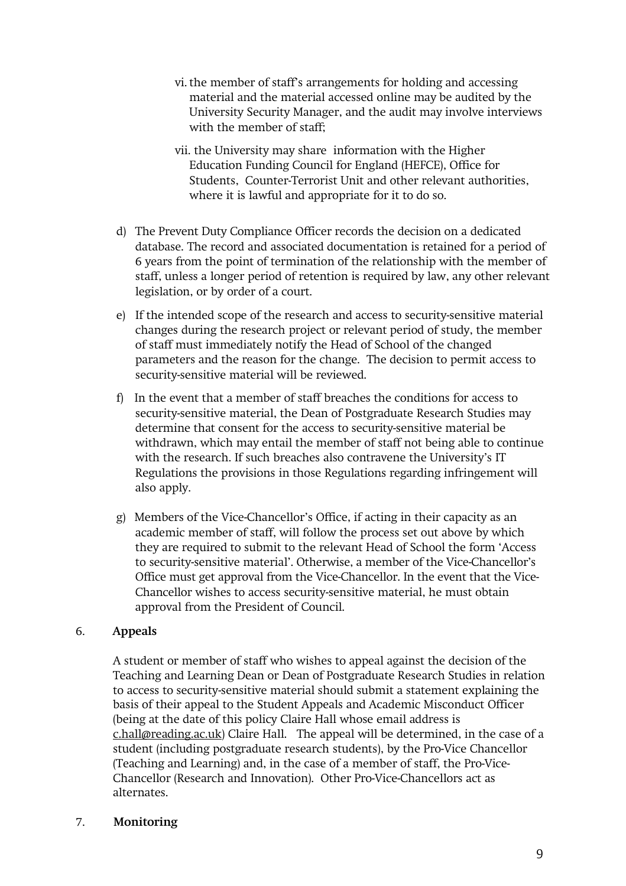- vi.the member of staff's arrangements for holding and accessing material and the material accessed online may be audited by the University Security Manager, and the audit may involve interviews with the member of staff;
- vii. the University may share information with the Higher Education Funding Council for England (HEFCE), Office for Students, Counter-Terrorist Unit and other relevant authorities, where it is lawful and appropriate for it to do so.
- d) The Prevent Duty Compliance Officer records the decision on a dedicated database. The record and associated documentation is retained for a period of 6 years from the point of termination of the relationship with the member of staff, unless a longer period of retention is required by law, any other relevant legislation, or by order of a court.
- e) If the intended scope of the research and access to security-sensitive material changes during the research project or relevant period of study, the member of staff must immediately notify the Head of School of the changed parameters and the reason for the change. The decision to permit access to security-sensitive material will be reviewed.
- f) In the event that a member of staff breaches the conditions for access to security-sensitive material, the Dean of Postgraduate Research Studies may determine that consent for the access to security-sensitive material be withdrawn, which may entail the member of staff not being able to continue with the research. If such breaches also contravene the University's IT Regulations the provisions in those Regulations regarding infringement will also apply.
- g) Members of the Vice-Chancellor's Office, if acting in their capacity as an academic member of staff, will follow the process set out above by which they are required to submit to the relevant Head of School the form 'Access to security-sensitive material'. Otherwise, a member of the Vice-Chancellor's Office must get approval from the Vice-Chancellor. In the event that the Vice-Chancellor wishes to access security-sensitive material, he must obtain approval from the President of Council.

## 6. **Appeals**

A student or member of staff who wishes to appeal against the decision of the Teaching and Learning Dean or Dean of Postgraduate Research Studies in relation to access to security-sensitive material should submit a statement explaining the basis of their appeal to the Student Appeals and Academic Misconduct Officer (being at the date of this policy Claire Hall whose email address is [c.hall@reading.ac.uk\)](mailto:c.hall@reading.ac.uk) Claire Hall. The appeal will be determined, in the case of a student (including postgraduate research students), by the Pro-Vice Chancellor (Teaching and Learning) and, in the case of a member of staff, the Pro-Vice-Chancellor (Research and Innovation). Other Pro-Vice-Chancellors act as alternates.

#### 7. **Monitoring**